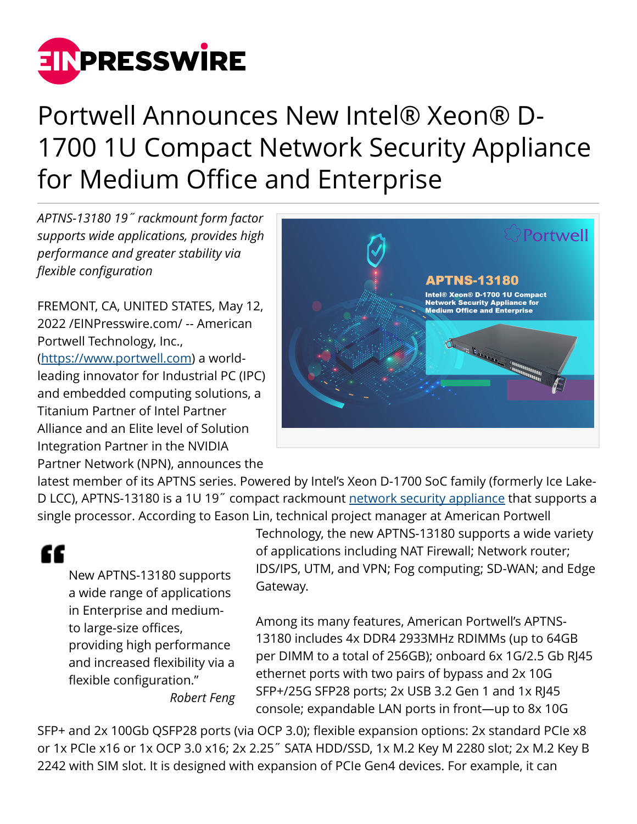

## Portwell Announces New Intel® Xeon® D-1700 1U Compact Network Security Appliance for Medium Office and Enterprise

*APTNS-13180 19˝ rackmount form factor supports wide applications, provides high performance and greater stability via flexible configuration*

FREMONT, CA, UNITED STATES, May 12, 2022 /[EINPresswire.com](http://www.einpresswire.com)/ -- American Portwell Technology, Inc., (<https://www.portwell.com>) a worldleading innovator for Industrial PC (IPC) and embedded computing solutions, a Titanium Partner of Intel Partner Alliance and an Elite level of Solution Integration Partner in the NVIDIA Partner Network (NPN), announces the



latest member of its APTNS series. Powered by Intel's Xeon D-1700 SoC family (formerly Ice Lake-D LCC), APTNS-13180 is a 1U 19˝ compact rackmount [network security appliance](https://portwell.com/products/ca-a.php) that supports a single processor. According to Eason Lin, technical project manager at American Portwell

## "

New APTNS-13180 supports a wide range of applications in Enterprise and mediumto large-size offices, providing high performance and increased flexibility via a flexible configuration." *Robert Feng* Technology, the new APTNS-13180 supports a wide variety of applications including NAT Firewall; Network router; IDS/IPS, UTM, and VPN; Fog computing; SD-WAN; and Edge Gateway.

Among its many features, American Portwell's APTNS-13180 includes 4x DDR4 2933MHz RDIMMs (up to 64GB per DIMM to a total of 256GB); onboard 6x 1G/2.5 Gb RJ45 ethernet ports with two pairs of bypass and 2x 10G SFP+/25G SFP28 ports; 2x USB 3.2 Gen 1 and 1x RJ45 console; expandable LAN ports in front—up to 8x 10G

SFP+ and 2x 100Gb QSFP28 ports (via OCP 3.0); flexible expansion options: 2x standard PCIe x8 or 1x PCIe x16 or 1x OCP 3.0 x16; 2x 2.25˝ SATA HDD/SSD, 1x M.2 Key M 2280 slot; 2x M.2 Key B 2242 with SIM slot. It is designed with expansion of PCIe Gen4 devices. For example, it can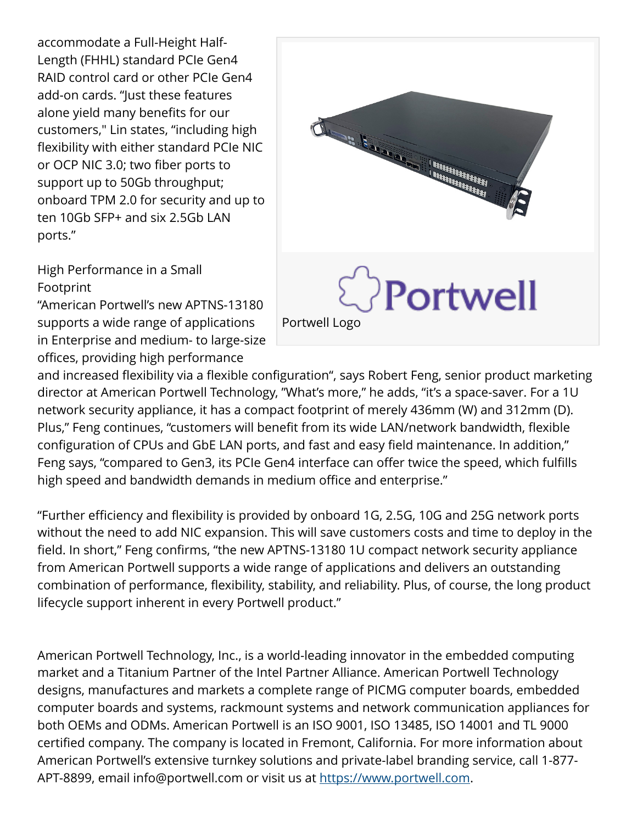accommodate a Full-Height Half-Length (FHHL) standard PCIe Gen4 RAID control card or other PCIe Gen4 add-on cards. "Just these features alone yield many benefits for our customers," Lin states, "including high flexibility with either standard PCIe NIC or OCP NIC 3.0; two fiber ports to support up to 50Gb throughput; onboard TPM 2.0 for security and up to ten 10Gb SFP+ and six 2.5Gb LAN ports."

High Performance in a Small Footprint

"American Portwell's new APTNS-13180 supports a wide range of applications in Enterprise and medium- to large-size offices, providing high performance



and increased flexibility via a flexible configuration", says Robert Feng, senior product marketing director at American Portwell Technology, "What's more," he adds, "it's a space-saver. For a 1U network security appliance, it has a compact footprint of merely 436mm (W) and 312mm (D). Plus," Feng continues, "customers will benefit from its wide LAN/network bandwidth, flexible configuration of CPUs and GbE LAN ports, and fast and easy field maintenance. In addition," Feng says, "compared to Gen3, its PCIe Gen4 interface can offer twice the speed, which fulfills high speed and bandwidth demands in medium office and enterprise."

"Further efficiency and flexibility is provided by onboard 1G, 2.5G, 10G and 25G network ports without the need to add NIC expansion. This will save customers costs and time to deploy in the field. In short," Feng confirms, "the new APTNS-13180 1U compact network security appliance from American Portwell supports a wide range of applications and delivers an outstanding combination of performance, flexibility, stability, and reliability. Plus, of course, the long product lifecycle support inherent in every Portwell product."

American Portwell Technology, Inc., is a world-leading innovator in the embedded computing market and a Titanium Partner of the Intel Partner Alliance. American Portwell Technology designs, manufactures and markets a complete range of PICMG computer boards, embedded computer boards and systems, rackmount systems and network communication appliances for both OEMs and ODMs. American Portwell is an ISO 9001, ISO 13485, ISO 14001 and TL 9000 certified company. The company is located in Fremont, California. For more information about American Portwell's extensive turnkey solutions and private-label branding service, call 1-877- APT-8899, email info@portwell.com or visit us at [https://www.portwell.com.](https://www.portwell.com)